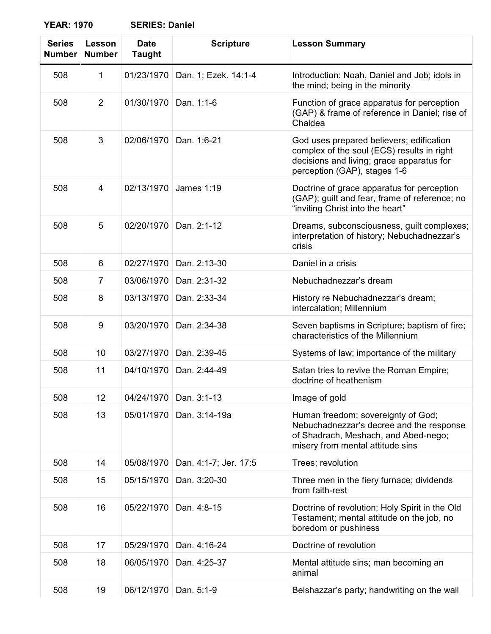| <b>Series</b><br><b>Number</b> | Lesson<br><b>Number</b> | <b>Date</b><br><b>Taught</b> | <b>Scripture</b>      | <b>Lesson Summary</b>                                                                                                                                               |
|--------------------------------|-------------------------|------------------------------|-----------------------|---------------------------------------------------------------------------------------------------------------------------------------------------------------------|
| 508                            | 1                       | 01/23/1970                   | Dan. 1; Ezek. 14:1-4  | Introduction: Noah, Daniel and Job; idols in<br>the mind; being in the minority                                                                                     |
| 508                            | $\overline{2}$          | 01/30/1970                   | Dan. 1:1-6            | Function of grace apparatus for perception<br>(GAP) & frame of reference in Daniel; rise of<br>Chaldea                                                              |
| 508                            | 3                       | 02/06/1970                   | Dan. 1:6-21           | God uses prepared believers; edification<br>complex of the soul (ECS) results in right<br>decisions and living; grace apparatus for<br>perception (GAP), stages 1-6 |
| 508                            | 4                       | 02/13/1970                   | <b>James 1:19</b>     | Doctrine of grace apparatus for perception<br>(GAP); guilt and fear, frame of reference; no<br>"inviting Christ into the heart"                                     |
| 508                            | 5                       | 02/20/1970                   | Dan. 2:1-12           | Dreams, subconsciousness, guilt complexes;<br>interpretation of history; Nebuchadnezzar's<br>crisis                                                                 |
| 508                            | 6                       | 02/27/1970                   | Dan. 2:13-30          | Daniel in a crisis                                                                                                                                                  |
| 508                            | 7                       | 03/06/1970                   | Dan. 2:31-32          | Nebuchadnezzar's dream                                                                                                                                              |
| 508                            | 8                       | 03/13/1970                   | Dan. 2:33-34          | History re Nebuchadnezzar's dream;<br>intercalation; Millennium                                                                                                     |
| 508                            | 9                       | 03/20/1970                   | Dan. 2:34-38          | Seven baptisms in Scripture; baptism of fire;<br>characteristics of the Millennium                                                                                  |
| 508                            | 10                      | 03/27/1970                   | Dan. 2:39-45          | Systems of law; importance of the military                                                                                                                          |
| 508                            | 11                      | 04/10/1970                   | Dan. 2:44-49          | Satan tries to revive the Roman Empire;<br>doctrine of heathenism                                                                                                   |
| 508                            | 12                      | 04/24/1970                   | Dan. 3:1-13           | Image of gold                                                                                                                                                       |
| 508                            | 13                      | 05/01/1970                   | Dan. 3:14-19a         | Human freedom; sovereignty of God;<br>Nebuchadnezzar's decree and the response<br>of Shadrach, Meshach, and Abed-nego;<br>misery from mental attitude sins          |
| 508                            | 14                      | 05/08/1970                   | Dan. 4:1-7; Jer. 17:5 | Trees; revolution                                                                                                                                                   |
| 508                            | 15                      | 05/15/1970                   | Dan. 3:20-30          | Three men in the fiery furnace; dividends<br>from faith-rest                                                                                                        |
| 508                            | 16                      | 05/22/1970                   | Dan. 4:8-15           | Doctrine of revolution; Holy Spirit in the Old<br>Testament; mental attitude on the job, no<br>boredom or pushiness                                                 |
| 508                            | 17                      | 05/29/1970                   | Dan. 4:16-24          | Doctrine of revolution                                                                                                                                              |
| 508                            | 18                      | 06/05/1970                   | Dan. 4:25-37          | Mental attitude sins; man becoming an<br>animal                                                                                                                     |
| 508                            | 19                      | 06/12/1970                   | Dan. 5:1-9            | Belshazzar's party; handwriting on the wall                                                                                                                         |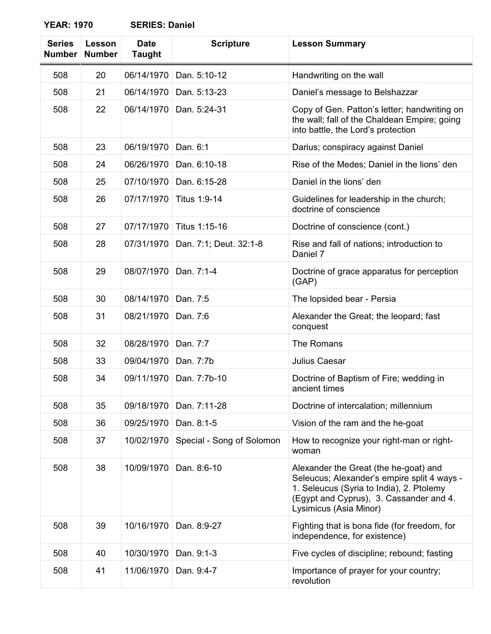| <b>Series</b><br><b>Number</b> | Lesson<br><b>Number</b> | <b>Date</b><br><b>Taught</b> | <b>Scripture</b>          | <b>Lesson Summary</b>                                                                                                                                                                                 |
|--------------------------------|-------------------------|------------------------------|---------------------------|-------------------------------------------------------------------------------------------------------------------------------------------------------------------------------------------------------|
| 508                            | 20                      | 06/14/1970                   | Dan. 5:10-12              | Handwriting on the wall                                                                                                                                                                               |
| 508                            | 21                      | 06/14/1970                   | Dan. 5:13-23              | Daniel's message to Belshazzar                                                                                                                                                                        |
| 508                            | 22                      | 06/14/1970                   | Dan. 5:24-31              | Copy of Gen. Patton's letter; handwriting on<br>the wall; fall of the Chaldean Empire; going<br>into battle, the Lord's protection                                                                    |
| 508                            | 23                      | 06/19/1970                   | Dan. 6:1                  | Darius; conspiracy against Daniel                                                                                                                                                                     |
| 508                            | 24                      | 06/26/1970                   | Dan. 6:10-18              | Rise of the Medes; Daniel in the lions' den                                                                                                                                                           |
| 508                            | 25                      | 07/10/1970                   | Dan. 6:15-28              | Daniel in the lions' den                                                                                                                                                                              |
| 508                            | 26                      | 07/17/1970                   | Titus 1:9-14              | Guidelines for leadership in the church;<br>doctrine of conscience                                                                                                                                    |
| 508                            | 27                      | 07/17/1970                   | Titus 1:15-16             | Doctrine of conscience (cont.)                                                                                                                                                                        |
| 508                            | 28                      | 07/31/1970                   | Dan. 7:1; Deut. 32:1-8    | Rise and fall of nations; introduction to<br>Daniel 7                                                                                                                                                 |
| 508                            | 29                      | 08/07/1970                   | Dan. 7:1-4                | Doctrine of grace apparatus for perception<br>(GAP)                                                                                                                                                   |
| 508                            | 30                      | 08/14/1970                   | Dan. 7:5                  | The lopsided bear - Persia                                                                                                                                                                            |
| 508                            | 31                      | 08/21/1970                   | Dan. 7:6                  | Alexander the Great; the leopard; fast<br>conquest                                                                                                                                                    |
| 508                            | 32                      | 08/28/1970                   | Dan. 7:7                  | The Romans                                                                                                                                                                                            |
| 508                            | 33                      | 09/04/1970                   | Dan. 7:7b                 | Julius Caesar                                                                                                                                                                                         |
| 508                            | 34                      | 09/11/1970                   | Dan. 7:7b-10              | Doctrine of Baptism of Fire; wedding in<br>ancient times                                                                                                                                              |
| 508                            | 35                      | 09/18/1970                   | Dan. 7:11-28              | Doctrine of intercalation; millennium                                                                                                                                                                 |
| 508                            | 36                      | 09/25/1970                   | Dan. 8:1-5                | Vision of the ram and the he-goat                                                                                                                                                                     |
| 508                            | 37                      | 10/02/1970                   | Special - Song of Solomon | How to recognize your right-man or right-<br>woman                                                                                                                                                    |
| 508                            | 38                      | 10/09/1970                   | Dan. 8:6-10               | Alexander the Great (the he-goat) and<br>Seleucus; Alexander's empire split 4 ways -<br>1. Seleucus (Syria to India), 2. Ptolemy<br>(Egypt and Cyprus), 3. Cassander and 4.<br>Lysimicus (Asia Minor) |
| 508                            | 39                      | 10/16/1970                   | Dan. 8:9-27               | Fighting that is bona fide (for freedom, for<br>independence, for existence)                                                                                                                          |
| 508                            | 40                      | 10/30/1970                   | Dan. 9:1-3                | Five cycles of discipline; rebound; fasting                                                                                                                                                           |
| 508                            | 41                      | 11/06/1970                   | Dan. 9:4-7                | Importance of prayer for your country;<br>revolution                                                                                                                                                  |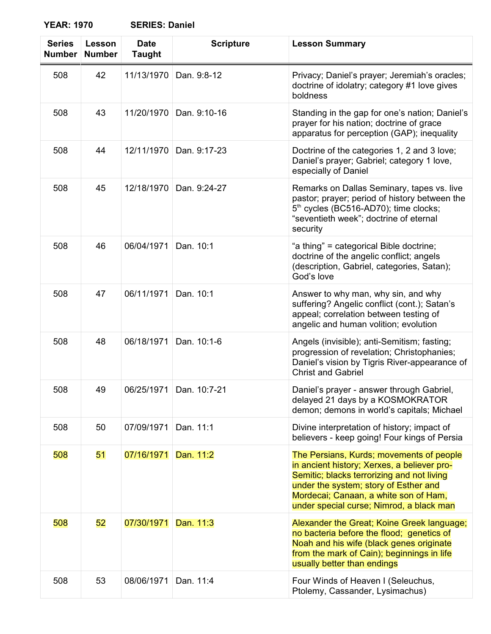| <b>Series</b><br><b>Number</b> | Lesson<br><b>Number</b> | <b>Date</b><br><b>Taught</b> | <b>Scripture</b> | <b>Lesson Summary</b>                                                                                                                                                                                                                                               |
|--------------------------------|-------------------------|------------------------------|------------------|---------------------------------------------------------------------------------------------------------------------------------------------------------------------------------------------------------------------------------------------------------------------|
| 508                            | 42                      | 11/13/1970                   | Dan. 9:8-12      | Privacy; Daniel's prayer; Jeremiah's oracles;<br>doctrine of idolatry; category #1 love gives<br>boldness                                                                                                                                                           |
| 508                            | 43                      | 11/20/1970                   | Dan. 9:10-16     | Standing in the gap for one's nation; Daniel's<br>prayer for his nation; doctrine of grace<br>apparatus for perception (GAP); inequality                                                                                                                            |
| 508                            | 44                      | 12/11/1970                   | Dan. 9:17-23     | Doctrine of the categories 1, 2 and 3 love;<br>Daniel's prayer; Gabriel; category 1 love,<br>especially of Daniel                                                                                                                                                   |
| 508                            | 45                      | 12/18/1970                   | Dan. 9:24-27     | Remarks on Dallas Seminary, tapes vs. live<br>pastor; prayer; period of history between the<br>5 <sup>th</sup> cycles (BC516-AD70); time clocks;<br>"seventieth week"; doctrine of eternal<br>security                                                              |
| 508                            | 46                      | 06/04/1971                   | Dan. 10:1        | "a thing" = categorical Bible doctrine;<br>doctrine of the angelic conflict; angels<br>(description, Gabriel, categories, Satan);<br>God's love                                                                                                                     |
| 508                            | 47                      | 06/11/1971                   | Dan. 10:1        | Answer to why man, why sin, and why<br>suffering? Angelic conflict (cont.); Satan's<br>appeal; correlation between testing of<br>angelic and human volition; evolution                                                                                              |
| 508                            | 48                      | 06/18/1971                   | Dan. 10:1-6      | Angels (invisible); anti-Semitism; fasting;<br>progression of revelation; Christophanies;<br>Daniel's vision by Tigris River-appearance of<br><b>Christ and Gabriel</b>                                                                                             |
| 508                            | 49                      | 06/25/1971                   | Dan. 10:7-21     | Daniel's prayer - answer through Gabriel,<br>delayed 21 days by a KOSMOKRATOR<br>demon; demons in world's capitals; Michael                                                                                                                                         |
| 508                            | 50                      | 07/09/1971                   | Dan. 11:1        | Divine interpretation of history; impact of<br>believers - keep going! Four kings of Persia                                                                                                                                                                         |
| 508                            | 51                      | 07/16/1971                   | Dan. 11:2        | The Persians, Kurds; movements of people<br>in ancient history; Xerxes, a believer pro-<br>Semitic; blacks terrorizing and not living<br>under the system; story of Esther and<br>Mordecai; Canaan, a white son of Ham,<br>under special curse; Nimrod, a black man |
| 508                            | 52                      | 07/30/1971                   | Dan. 11:3        | Alexander the Great; Koine Greek language;<br>no bacteria before the flood; genetics of<br>Noah and his wife (black genes originate<br>from the mark of Cain); beginnings in life<br>usually better than endings                                                    |
| 508                            | 53                      | 08/06/1971                   | Dan. 11:4        | Four Winds of Heaven I (Seleuchus,<br>Ptolemy, Cassander, Lysimachus)                                                                                                                                                                                               |